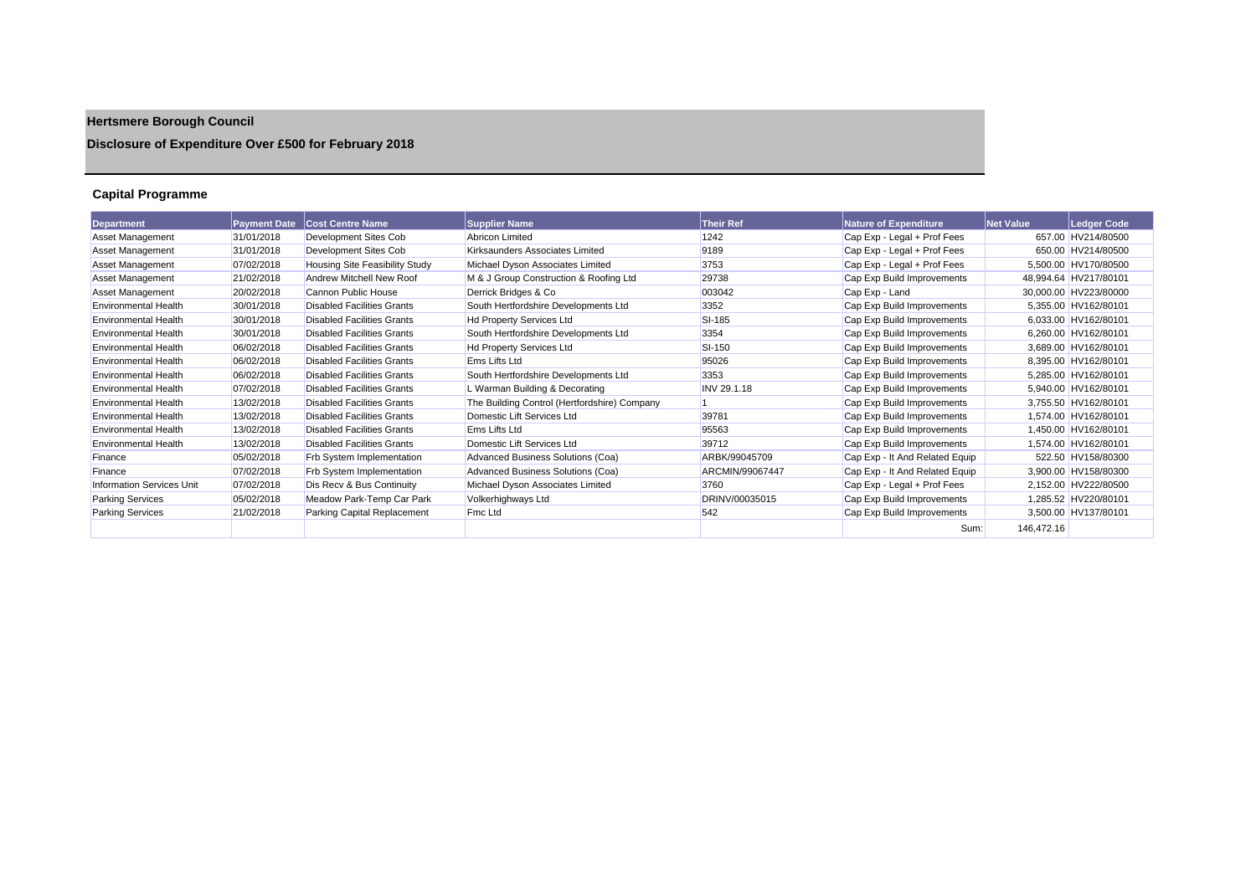# **Hertsmere Borough Council**

## **Disclosure of Expenditure Over £500 for February 2018**

## **Capital Programme**

| <b>Department</b>                | <b>Payment Date</b> | <b>Cost Centre Name</b>           | <b>Supplier Name</b>                         | <b>Their Ref</b> | <b>Nature of Expenditure</b>   | Net Value  | <b>Ledger Code</b>    |
|----------------------------------|---------------------|-----------------------------------|----------------------------------------------|------------------|--------------------------------|------------|-----------------------|
| <b>Asset Management</b>          | 31/01/2018          | Development Sites Cob             | <b>Abricon Limited</b>                       | 1242             | Cap Exp - Legal + Prof Fees    |            | 657.00 HV214/80500    |
| Asset Management                 | 31/01/2018          | Development Sites Cob             | Kirksaunders Associates Limited              | 9189             | Cap Exp - Legal + Prof Fees    |            | 650.00 HV214/80500    |
| <b>Asset Management</b>          | 07/02/2018          | Housing Site Feasibility Study    | Michael Dyson Associates Limited             | 3753             | Cap Exp - Legal + Prof Fees    |            | 5,500.00 HV170/80500  |
| <b>Asset Management</b>          | 21/02/2018          | Andrew Mitchell New Roof          | M & J Group Construction & Roofing Ltd       | 29738            | Cap Exp Build Improvements     |            | 48,994.64 HV217/80101 |
| <b>Asset Management</b>          | 20/02/2018          | Cannon Public House               | Derrick Bridges & Co                         | 003042           | Cap Exp - Land                 |            | 30,000.00 HV223/80000 |
| <b>Environmental Health</b>      | 30/01/2018          | <b>Disabled Facilities Grants</b> | South Hertfordshire Developments Ltd         | 3352             | Cap Exp Build Improvements     |            | 5,355.00 HV162/80101  |
| <b>Environmental Health</b>      | 30/01/2018          | <b>Disabled Facilities Grants</b> | <b>Hd Property Services Ltd</b>              | <b>SI-185</b>    | Cap Exp Build Improvements     |            | 6,033.00 HV162/80101  |
| <b>Environmental Health</b>      | 30/01/2018          | <b>Disabled Facilities Grants</b> | South Hertfordshire Developments Ltd         | 3354             | Cap Exp Build Improvements     |            | 6,260.00 HV162/80101  |
| <b>Environmental Health</b>      | 06/02/2018          | <b>Disabled Facilities Grants</b> | <b>Hd Property Services Ltd</b>              | SI-150           | Cap Exp Build Improvements     |            | 3,689.00 HV162/80101  |
| <b>Environmental Health</b>      | 06/02/2018          | <b>Disabled Facilities Grants</b> | Ems Lifts Ltd                                | 95026            | Cap Exp Build Improvements     |            | 8,395.00 HV162/80101  |
| <b>Environmental Health</b>      | 06/02/2018          | <b>Disabled Facilities Grants</b> | South Hertfordshire Developments Ltd         | 3353             | Cap Exp Build Improvements     |            | 5,285.00 HV162/80101  |
| <b>Environmental Health</b>      | 07/02/2018          | <b>Disabled Facilities Grants</b> | L Warman Building & Decorating               | INV 29.1.18      | Cap Exp Build Improvements     |            | 5,940.00 HV162/80101  |
| <b>Environmental Health</b>      | 13/02/2018          | <b>Disabled Facilities Grants</b> | The Building Control (Hertfordshire) Company |                  | Cap Exp Build Improvements     |            | 3,755.50 HV162/80101  |
| <b>Environmental Health</b>      | 13/02/2018          | <b>Disabled Facilities Grants</b> | Domestic Lift Services Ltd                   | 39781            | Cap Exp Build Improvements     |            | 1,574.00 HV162/80101  |
| <b>Environmental Health</b>      | 13/02/2018          | <b>Disabled Facilities Grants</b> | Ems Lifts Ltd                                | 95563            | Cap Exp Build Improvements     |            | 1,450.00 HV162/80101  |
| <b>Environmental Health</b>      | 13/02/2018          | <b>Disabled Facilities Grants</b> | Domestic Lift Services Ltd                   | 39712            | Cap Exp Build Improvements     |            | 1,574.00 HV162/80101  |
| Finance                          | 05/02/2018          | Frb System Implementation         | Advanced Business Solutions (Coa)            | ARBK/99045709    | Cap Exp - It And Related Equip |            | 522.50 HV158/80300    |
| Finance                          | 07/02/2018          | Frb System Implementation         | Advanced Business Solutions (Coa)            | ARCMIN/99067447  | Cap Exp - It And Related Equip |            | 3,900.00 HV158/80300  |
| <b>Information Services Unit</b> | 07/02/2018          | Dis Recv & Bus Continuity         | Michael Dyson Associates Limited             | 3760             | Cap Exp - Legal + Prof Fees    |            | 2,152.00 HV222/80500  |
| <b>Parking Services</b>          | 05/02/2018          | Meadow Park-Temp Car Park         | Volkerhighways Ltd                           | DRINV/00035015   | Cap Exp Build Improvements     |            | 1,285.52 HV220/80101  |
| <b>Parking Services</b>          | 21/02/2018          | Parking Capital Replacement       | Fmc Ltd                                      | 542              | Cap Exp Build Improvements     |            | 3,500.00 HV137/80101  |
|                                  |                     |                                   |                                              |                  | Sum:                           | 146,472.16 |                       |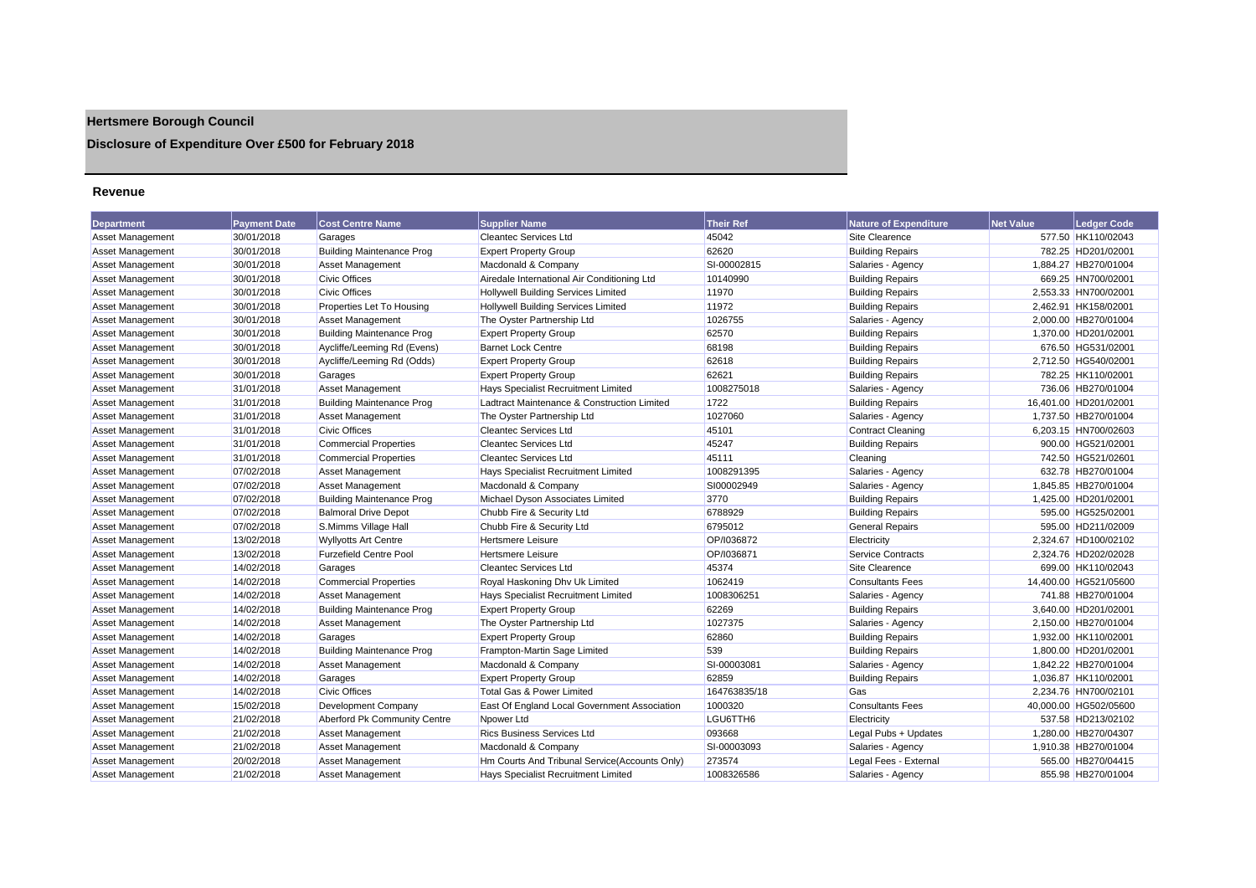## **Hertsmere Borough Council**

## **Disclosure of Expenditure Over £500 for February 2018**

#### **Revenue**

| <b>Department</b>       | <b>Payment Date</b> | <b>Cost Centre Name</b>          | <b>Supplier Name</b>                          | <b>Their Ref</b> | <b>Nature of Expenditure</b> | <b>Net Value</b> | <b>Ledger Code</b>    |
|-------------------------|---------------------|----------------------------------|-----------------------------------------------|------------------|------------------------------|------------------|-----------------------|
| Asset Management        | 30/01/2018          | Garages                          | <b>Cleantec Services Ltd</b>                  | 45042            | Site Clearence               |                  | 577.50 HK110/02043    |
| Asset Management        | 30/01/2018          | <b>Building Maintenance Prog</b> | <b>Expert Property Group</b>                  | 62620            | <b>Building Repairs</b>      |                  | 782.25 HD201/02001    |
| Asset Management        | 30/01/2018          | <b>Asset Management</b>          | Macdonald & Company                           | SI-00002815      | Salaries - Agency            |                  | 1,884.27 HB270/01004  |
| Asset Management        | 30/01/2018          | <b>Civic Offices</b>             | Airedale International Air Conditioning Ltd   | 10140990         | <b>Building Repairs</b>      |                  | 669.25 HN700/02001    |
| Asset Management        | 30/01/2018          | <b>Civic Offices</b>             | <b>Hollywell Building Services Limited</b>    | 11970            | <b>Building Repairs</b>      |                  | 2.553.33 HN700/02001  |
| Asset Management        | 30/01/2018          | Properties Let To Housing        | <b>Hollywell Building Services Limited</b>    | 11972            | <b>Building Repairs</b>      |                  | 2.462.91 HK158/02001  |
| <b>Asset Management</b> | 30/01/2018          | <b>Asset Management</b>          | The Oyster Partnership Ltd                    | 1026755          | Salaries - Agency            |                  | 2,000.00 HB270/01004  |
| Asset Management        | 30/01/2018          | <b>Building Maintenance Prog</b> | <b>Expert Property Group</b>                  | 62570            | <b>Building Repairs</b>      |                  | 1,370.00 HD201/02001  |
| Asset Management        | 30/01/2018          | Aycliffe/Leeming Rd (Evens)      | <b>Barnet Lock Centre</b>                     | 68198            | <b>Building Repairs</b>      |                  | 676.50 HG531/02001    |
| Asset Management        | 30/01/2018          | Aycliffe/Leeming Rd (Odds)       | <b>Expert Property Group</b>                  | 62618            | <b>Building Repairs</b>      |                  | 2,712.50 HG540/02001  |
| Asset Management        | 30/01/2018          | Garages                          | <b>Expert Property Group</b>                  | 62621            | <b>Building Repairs</b>      |                  | 782.25 HK110/02001    |
| <b>Asset Management</b> | 31/01/2018          | <b>Asset Management</b>          | Hays Specialist Recruitment Limited           | 1008275018       | Salaries - Agency            |                  | 736.06 HB270/01004    |
| <b>Asset Management</b> | 31/01/2018          | <b>Building Maintenance Prog</b> | Ladtract Maintenance & Construction Limited   | 1722             | <b>Building Repairs</b>      |                  | 16,401.00 HD201/02001 |
| <b>Asset Management</b> | 31/01/2018          | <b>Asset Management</b>          | The Oyster Partnership Ltd                    | 1027060          | Salaries - Agency            |                  | 1,737.50 HB270/01004  |
| Asset Management        | 31/01/2018          | <b>Civic Offices</b>             | <b>Cleantec Services Ltd</b>                  | 45101            | <b>Contract Cleaning</b>     |                  | 6.203.15 HN700/02603  |
| Asset Management        | 31/01/2018          | <b>Commercial Properties</b>     | <b>Cleantec Services Ltd</b>                  | 45247            | <b>Building Repairs</b>      |                  | 900.00 HG521/02001    |
| Asset Management        | 31/01/2018          | <b>Commercial Properties</b>     | <b>Cleantec Services Ltd</b>                  | 45111            | Cleaning                     |                  | 742.50 HG521/02601    |
| Asset Management        | 07/02/2018          | <b>Asset Management</b>          | Hays Specialist Recruitment Limited           | 1008291395       | Salaries - Agency            |                  | 632.78 HB270/01004    |
| Asset Management        | 07/02/2018          | <b>Asset Management</b>          | Macdonald & Company                           | SI00002949       | Salaries - Agency            |                  | 1,845.85 HB270/01004  |
| Asset Management        | 07/02/2018          | <b>Building Maintenance Prog</b> | Michael Dyson Associates Limited              | 3770             | <b>Building Repairs</b>      |                  | 1,425.00 HD201/02001  |
| Asset Management        | 07/02/2018          | <b>Balmoral Drive Depot</b>      | Chubb Fire & Security Ltd                     | 6788929          | <b>Building Repairs</b>      |                  | 595.00 HG525/02001    |
| Asset Management        | 07/02/2018          | S.Mimms Village Hall             | Chubb Fire & Security Ltd                     | 6795012          | <b>General Repairs</b>       |                  | 595.00 HD211/02009    |
| Asset Management        | 13/02/2018          | <b>Wyllyotts Art Centre</b>      | <b>Hertsmere Leisure</b>                      | OP/I036872       | Electricity                  |                  | 2.324.67 HD100/02102  |
| Asset Management        | 13/02/2018          | <b>Furzefield Centre Pool</b>    | <b>Hertsmere Leisure</b>                      | OP/I036871       | Service Contracts            |                  | 2,324.76 HD202/02028  |
| Asset Management        | 14/02/2018          | Garages                          | <b>Cleantec Services Ltd</b>                  | 45374            | Site Clearence               |                  | 699.00 HK110/02043    |
| Asset Management        | 14/02/2018          | <b>Commercial Properties</b>     | Royal Haskoning Dhv Uk Limited                | 1062419          | <b>Consultants Fees</b>      |                  | 14,400.00 HG521/05600 |
| Asset Management        | 14/02/2018          | <b>Asset Management</b>          | Hays Specialist Recruitment Limited           | 1008306251       | Salaries - Agency            |                  | 741.88 HB270/01004    |
| Asset Management        | 14/02/2018          | <b>Building Maintenance Prog</b> | <b>Expert Property Group</b>                  | 62269            | <b>Building Repairs</b>      |                  | 3,640.00 HD201/02001  |
| Asset Management        | 14/02/2018          | <b>Asset Management</b>          | The Oyster Partnership Ltd                    | 1027375          | Salaries - Agency            |                  | 2,150.00 HB270/01004  |
| Asset Management        | 14/02/2018          | Garages                          | <b>Expert Property Group</b>                  | 62860            | <b>Building Repairs</b>      |                  | 1,932.00 HK110/02001  |
| <b>Asset Management</b> | 14/02/2018          | <b>Building Maintenance Prog</b> | Frampton-Martin Sage Limited                  | 539              | <b>Building Repairs</b>      |                  | 1,800.00 HD201/02001  |
| Asset Management        | 14/02/2018          | <b>Asset Management</b>          | Macdonald & Company                           | SI-00003081      | Salaries - Agency            |                  | 1,842.22 HB270/01004  |
| Asset Management        | 14/02/2018          | Garages                          | <b>Expert Property Group</b>                  | 62859            | <b>Building Repairs</b>      |                  | 1,036.87 HK110/02001  |
| Asset Management        | 14/02/2018          | <b>Civic Offices</b>             | <b>Total Gas &amp; Power Limited</b>          | 164763835/18     | Gas                          |                  | 2,234.76 HN700/02101  |
| Asset Management        | 15/02/2018          | Development Company              | East Of England Local Government Association  | 1000320          | <b>Consultants Fees</b>      |                  | 40,000.00 HG502/05600 |
| <b>Asset Management</b> | 21/02/2018          | Aberford Pk Community Centre     | Npower Ltd                                    | LGU6TTH6         | Electricity                  |                  | 537.58 HD213/02102    |
| Asset Management        | 21/02/2018          | <b>Asset Management</b>          | <b>Rics Business Services Ltd</b>             | 093668           | Legal Pubs + Updates         |                  | 1,280.00 HB270/04307  |
| <b>Asset Management</b> | 21/02/2018          | <b>Asset Management</b>          | Macdonald & Company                           | SI-00003093      | Salaries - Agency            |                  | 1,910.38 HB270/01004  |
| Asset Management        | 20/02/2018          | <b>Asset Management</b>          | Hm Courts And Tribunal Service(Accounts Only) | 273574           | Legal Fees - External        |                  | 565.00 HB270/04415    |
| Asset Management        | 21/02/2018          | <b>Asset Management</b>          | Havs Specialist Recruitment Limited           | 1008326586       | Salaries - Agency            |                  | 855.98 HB270/01004    |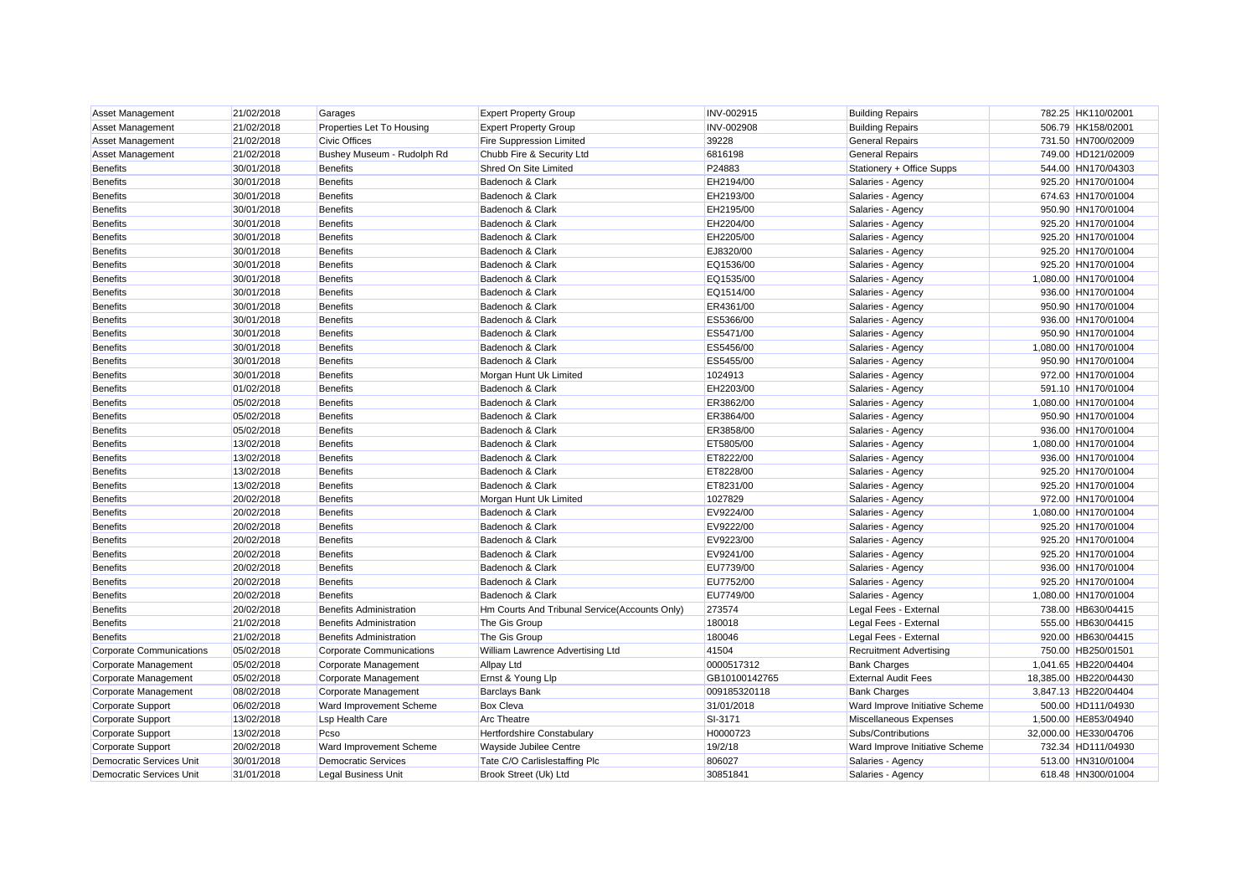| <b>Asset Management</b>         | 21/02/2018 | Garages                         | <b>Expert Property Group</b>                  | INV-002915    | <b>Building Repairs</b>        | 782.25 HK110/02001    |
|---------------------------------|------------|---------------------------------|-----------------------------------------------|---------------|--------------------------------|-----------------------|
| <b>Asset Management</b>         | 21/02/2018 | Properties Let To Housing       | <b>Expert Property Group</b>                  | INV-002908    | <b>Building Repairs</b>        | 506.79 HK158/02001    |
| Asset Management                | 21/02/2018 | <b>Civic Offices</b>            | Fire Suppression Limited                      | 39228         | <b>General Repairs</b>         | 731.50 HN700/02009    |
| Asset Management                | 21/02/2018 | Bushey Museum - Rudolph Rd      | Chubb Fire & Security Ltd                     | 6816198       | <b>General Repairs</b>         | 749.00 HD121/02009    |
| <b>Benefits</b>                 | 30/01/2018 | <b>Benefits</b>                 | Shred On Site Limited                         | P24883        | Stationery + Office Supps      | 544.00 HN170/04303    |
| <b>Benefits</b>                 | 30/01/2018 | <b>Benefits</b>                 | Badenoch & Clark                              | EH2194/00     | Salaries - Agency              | 925.20 HN170/01004    |
| <b>Benefits</b>                 | 30/01/2018 | <b>Benefits</b>                 | Badenoch & Clark                              | EH2193/00     | Salaries - Agency              | 674.63 HN170/01004    |
| <b>Benefits</b>                 | 30/01/2018 | <b>Benefits</b>                 | Badenoch & Clark                              | EH2195/00     | Salaries - Agency              | 950.90 HN170/01004    |
| <b>Benefits</b>                 | 30/01/2018 | <b>Benefits</b>                 | Badenoch & Clark                              | EH2204/00     | Salaries - Agency              | 925.20 HN170/01004    |
| <b>Benefits</b>                 | 30/01/2018 | <b>Benefits</b>                 | Badenoch & Clark                              | EH2205/00     | Salaries - Agency              | 925.20 HN170/01004    |
| <b>Benefits</b>                 | 30/01/2018 | <b>Benefits</b>                 | Badenoch & Clark                              | EJ8320/00     | Salaries - Agency              | 925.20 HN170/01004    |
| <b>Benefits</b>                 | 30/01/2018 | <b>Benefits</b>                 | Badenoch & Clark                              | EQ1536/00     | Salaries - Agency              | 925.20 HN170/01004    |
| <b>Benefits</b>                 | 30/01/2018 | <b>Benefits</b>                 | Badenoch & Clark                              | EQ1535/00     | Salaries - Agency              | 1,080.00 HN170/01004  |
| <b>Benefits</b>                 | 30/01/2018 | <b>Benefits</b>                 | Badenoch & Clark                              | EQ1514/00     | Salaries - Agency              | 936.00 HN170/01004    |
| <b>Benefits</b>                 | 30/01/2018 | <b>Benefits</b>                 | Badenoch & Clark                              | ER4361/00     | Salaries - Agency              | 950.90 HN170/01004    |
| <b>Benefits</b>                 | 30/01/2018 | <b>Benefits</b>                 | Badenoch & Clark                              | ES5366/00     | Salaries - Agency              | 936.00 HN170/01004    |
| <b>Benefits</b>                 | 30/01/2018 | <b>Benefits</b>                 | Badenoch & Clark                              | ES5471/00     | Salaries - Agency              | 950.90 HN170/01004    |
| Benefits                        | 30/01/2018 | <b>Benefits</b>                 | Badenoch & Clark                              | ES5456/00     | Salaries - Agency              | 1,080.00 HN170/01004  |
| <b>Benefits</b>                 | 30/01/2018 | <b>Benefits</b>                 | Badenoch & Clark                              | ES5455/00     | Salaries - Agency              | 950.90 HN170/01004    |
| <b>Benefits</b>                 | 30/01/2018 | <b>Benefits</b>                 | Morgan Hunt Uk Limited                        | 1024913       | Salaries - Agency              | 972.00 HN170/01004    |
| <b>Benefits</b>                 | 01/02/2018 | <b>Benefits</b>                 | Badenoch & Clark                              | EH2203/00     | Salaries - Agency              | 591.10 HN170/01004    |
| <b>Benefits</b>                 | 05/02/2018 | <b>Benefits</b>                 | Badenoch & Clark                              | ER3862/00     | Salaries - Agency              | 1,080.00 HN170/01004  |
| <b>Benefits</b>                 | 05/02/2018 | <b>Benefits</b>                 | Badenoch & Clark                              | ER3864/00     | Salaries - Agency              | 950.90 HN170/01004    |
| <b>Benefits</b>                 | 05/02/2018 | <b>Benefits</b>                 | Badenoch & Clark                              | ER3858/00     | Salaries - Agency              | 936.00 HN170/01004    |
| <b>Benefits</b>                 | 13/02/2018 | <b>Benefits</b>                 | Badenoch & Clark                              | ET5805/00     | Salaries - Agency              | 1,080.00 HN170/01004  |
| <b>Benefits</b>                 | 13/02/2018 | <b>Benefits</b>                 | Badenoch & Clark                              | ET8222/00     | Salaries - Agency              | 936.00 HN170/01004    |
| <b>Benefits</b>                 | 13/02/2018 | <b>Benefits</b>                 | Badenoch & Clark                              | ET8228/00     | Salaries - Agency              | 925.20 HN170/01004    |
| <b>Benefits</b>                 | 13/02/2018 | <b>Benefits</b>                 | Badenoch & Clark                              | ET8231/00     | Salaries - Agency              | 925.20 HN170/01004    |
| <b>Benefits</b>                 | 20/02/2018 | <b>Benefits</b>                 | Morgan Hunt Uk Limited                        | 1027829       | Salaries - Agency              | 972.00 HN170/01004    |
| <b>Benefits</b>                 | 20/02/2018 | <b>Benefits</b>                 | Badenoch & Clark                              | EV9224/00     | Salaries - Agency              | 1,080.00 HN170/01004  |
| <b>Benefits</b>                 | 20/02/2018 | <b>Benefits</b>                 | Badenoch & Clark                              | EV9222/00     | Salaries - Agency              | 925.20 HN170/01004    |
| <b>Benefits</b>                 | 20/02/2018 | <b>Benefits</b>                 | Badenoch & Clark                              | EV9223/00     | Salaries - Agency              | 925.20 HN170/01004    |
| <b>Benefits</b>                 | 20/02/2018 | <b>Benefits</b>                 | Badenoch & Clark                              | EV9241/00     | Salaries - Agency              | 925.20 HN170/01004    |
| <b>Benefits</b>                 | 20/02/2018 | <b>Benefits</b>                 | Badenoch & Clark                              | EU7739/00     | Salaries - Agency              | 936.00 HN170/01004    |
| <b>Benefits</b>                 | 20/02/2018 | <b>Benefits</b>                 | Badenoch & Clark                              | EU7752/00     | Salaries - Agency              | 925.20 HN170/01004    |
| <b>Benefits</b>                 | 20/02/2018 | <b>Benefits</b>                 | Badenoch & Clark                              | EU7749/00     | Salaries - Agency              | 1,080.00 HN170/01004  |
| <b>Benefits</b>                 | 20/02/2018 | <b>Benefits Administration</b>  | Hm Courts And Tribunal Service(Accounts Only) | 273574        | Legal Fees - External          | 738.00 HB630/04415    |
| <b>Benefits</b>                 | 21/02/2018 | <b>Benefits Administration</b>  | The Gis Group                                 | 180018        | Legal Fees - External          | 555.00 HB630/04415    |
| <b>Benefits</b>                 | 21/02/2018 | <b>Benefits Administration</b>  | The Gis Group                                 | 180046        | Legal Fees - External          | 920.00 HB630/04415    |
| <b>Corporate Communications</b> | 05/02/2018 | <b>Corporate Communications</b> | William Lawrence Advertising Ltd              | 41504         | <b>Recruitment Advertising</b> | 750.00 HB250/01501    |
| Corporate Management            | 05/02/2018 | Corporate Management            | <b>Allpay Ltd</b>                             | 0000517312    | <b>Bank Charges</b>            | 1,041.65 HB220/04404  |
| Corporate Management            | 05/02/2018 | Corporate Management            | Ernst & Young Llp                             | GB10100142765 | <b>External Audit Fees</b>     | 18.385.00 HB220/04430 |
| Corporate Management            | 08/02/2018 | Corporate Management            | <b>Barclays Bank</b>                          | 009185320118  | <b>Bank Charges</b>            | 3,847.13 HB220/04404  |
| <b>Corporate Support</b>        | 06/02/2018 | Ward Improvement Scheme         | <b>Box Cleva</b>                              | 31/01/2018    | Ward Improve Initiative Scheme | 500.00 HD111/04930    |
| Corporate Support               | 13/02/2018 | <b>Lsp Health Care</b>          | <b>Arc Theatre</b>                            | SI-3171       | Miscellaneous Expenses         | 1,500.00 HE853/04940  |
| Corporate Support               | 13/02/2018 | Pcso                            | Hertfordshire Constabulary                    | H0000723      | Subs/Contributions             | 32,000.00 HE330/04706 |
| <b>Corporate Support</b>        | 20/02/2018 | Ward Improvement Scheme         | Wayside Jubilee Centre                        | 19/2/18       | Ward Improve Initiative Scheme | 732.34 HD111/04930    |
| <b>Democratic Services Unit</b> | 30/01/2018 | <b>Democratic Services</b>      | Tate C/O Carlislestaffing Plc                 | 806027        | Salaries - Agency              | 513.00 HN310/01004    |
| <b>Democratic Services Unit</b> | 31/01/2018 | <b>Legal Business Unit</b>      | Brook Street (Uk) Ltd                         | 30851841      | Salaries - Agency              | 618.48 HN300/01004    |
|                                 |            |                                 |                                               |               |                                |                       |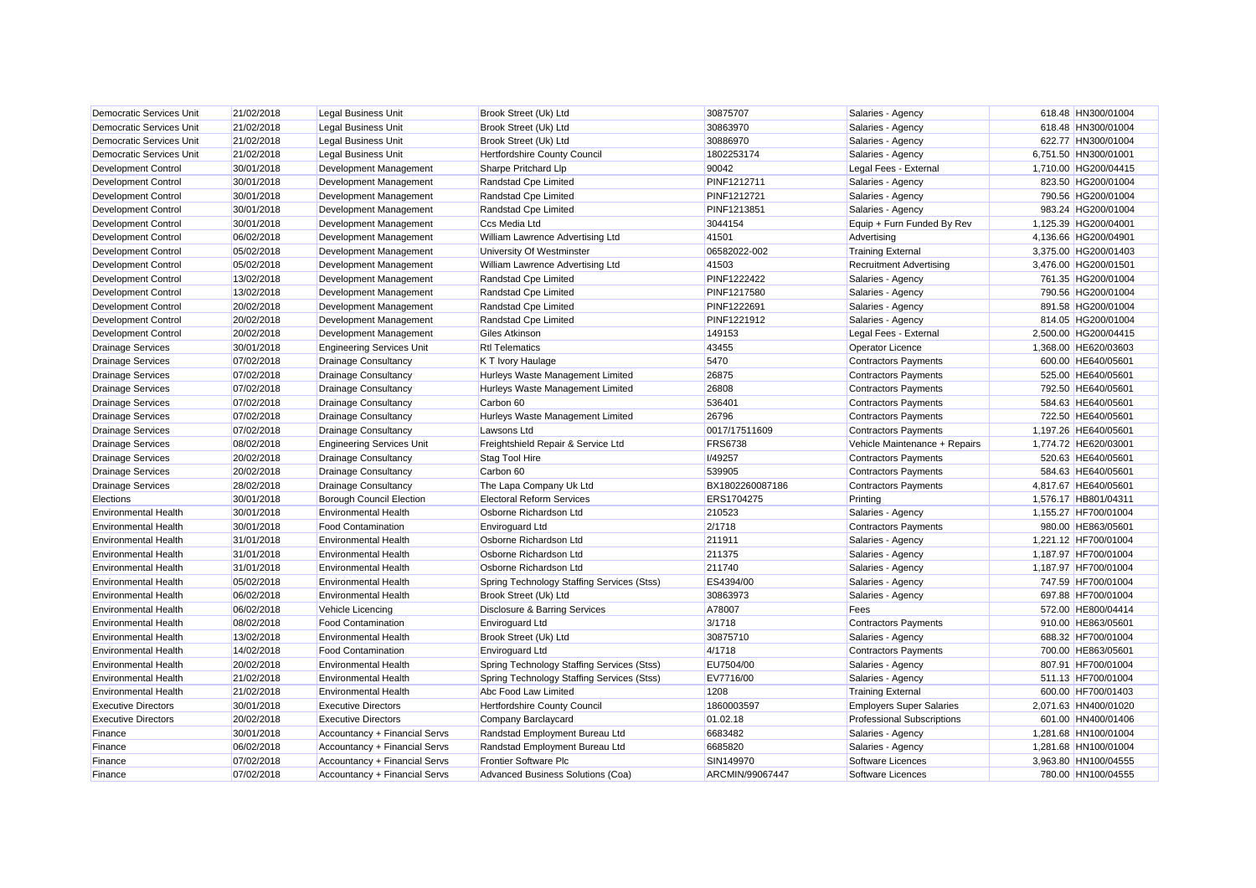| <b>Democratic Services Unit</b> | 21/02/2018 | <b>Legal Business Unit</b>       | Brook Street (Uk) Ltd                      | 30875707        | Salaries - Agency                 | 618.48 HN300/01004   |
|---------------------------------|------------|----------------------------------|--------------------------------------------|-----------------|-----------------------------------|----------------------|
| <b>Democratic Services Unit</b> | 21/02/2018 | <b>Legal Business Unit</b>       | Brook Street (Uk) Ltd                      | 30863970        | Salaries - Agency                 | 618.48 HN300/01004   |
| <b>Democratic Services Unit</b> | 21/02/2018 | <b>Legal Business Unit</b>       | Brook Street (Uk) Ltd                      | 30886970        | Salaries - Agency                 | 622.77 HN300/01004   |
| Democratic Services Unit        | 21/02/2018 | <b>Legal Business Unit</b>       | Hertfordshire County Council               | 1802253174      | Salaries - Agency                 | 6,751.50 HN300/01001 |
| <b>Development Control</b>      | 30/01/2018 | Development Management           | Sharpe Pritchard Llp                       | 90042           | Legal Fees - External             | 1,710.00 HG200/04415 |
| Development Control             | 30/01/2018 | Development Management           | Randstad Cpe Limited                       | PINF1212711     | Salaries - Agency                 | 823.50 HG200/01004   |
| Development Control             | 30/01/2018 | Development Management           | Randstad Cpe Limited                       | PINF1212721     | Salaries - Agency                 | 790.56 HG200/01004   |
| Development Control             | 30/01/2018 | Development Management           | Randstad Cpe Limited                       | PINF1213851     | Salaries - Agency                 | 983.24 HG200/01004   |
| Development Control             | 30/01/2018 | Development Management           | Ccs Media Ltd                              | 3044154         | Equip + Furn Funded By Rev        | 1,125.39 HG200/04001 |
| <b>Development Control</b>      | 06/02/2018 | Development Management           | William Lawrence Advertising Ltd           | 41501           | Advertising                       | 4,136.66 HG200/04901 |
| Development Control             | 05/02/2018 | Development Management           | University Of Westminster                  | 06582022-002    | <b>Training External</b>          | 3,375.00 HG200/01403 |
| <b>Development Control</b>      | 05/02/2018 | Development Management           | William Lawrence Advertising Ltd           | 41503           | <b>Recruitment Advertising</b>    | 3,476.00 HG200/01501 |
| <b>Development Control</b>      | 13/02/2018 | Development Management           | Randstad Cpe Limited                       | PINF1222422     | Salaries - Agency                 | 761.35 HG200/01004   |
| <b>Development Control</b>      | 13/02/2018 | Development Management           | Randstad Cpe Limited                       | PINF1217580     | Salaries - Agency                 | 790.56 HG200/01004   |
| Development Control             | 20/02/2018 | Development Management           | Randstad Cpe Limited                       | PINF1222691     | Salaries - Agency                 | 891.58 HG200/01004   |
| <b>Development Control</b>      | 20/02/2018 | Development Management           | Randstad Cpe Limited                       | PINF1221912     | Salaries - Agency                 | 814.05 HG200/01004   |
| Development Control             | 20/02/2018 | Development Management           | Giles Atkinson                             | 149153          | Legal Fees - External             | 2,500.00 HG200/04415 |
| <b>Drainage Services</b>        | 30/01/2018 | <b>Engineering Services Unit</b> | <b>Rtl Telematics</b>                      | 43455           | <b>Operator Licence</b>           | 1,368.00 HE620/03603 |
| <b>Drainage Services</b>        | 07/02/2018 | Drainage Consultancy             | K T Ivory Haulage                          | 5470            | <b>Contractors Payments</b>       | 600.00 HE640/05601   |
| <b>Drainage Services</b>        | 07/02/2018 | <b>Drainage Consultancy</b>      | Hurleys Waste Management Limited           | 26875           | <b>Contractors Payments</b>       | 525.00 HE640/05601   |
| <b>Drainage Services</b>        | 07/02/2018 | <b>Drainage Consultancy</b>      | Hurleys Waste Management Limited           | 26808           | <b>Contractors Payments</b>       | 792.50 HE640/05601   |
| <b>Drainage Services</b>        | 07/02/2018 | <b>Drainage Consultancy</b>      | Carbon 60                                  | 536401          | <b>Contractors Payments</b>       | 584.63 HE640/05601   |
| <b>Drainage Services</b>        | 07/02/2018 | Drainage Consultancy             | Hurleys Waste Management Limited           | 26796           | <b>Contractors Payments</b>       | 722.50 HE640/05601   |
| <b>Drainage Services</b>        | 07/02/2018 | <b>Drainage Consultancy</b>      | Lawsons Ltd                                | 0017/17511609   | <b>Contractors Payments</b>       | 1,197.26 HE640/05601 |
| <b>Drainage Services</b>        | 08/02/2018 | <b>Engineering Services Unit</b> | Freightshield Repair & Service Ltd         | <b>FRS6738</b>  | Vehicle Maintenance + Repairs     | 1,774.72 HE620/03001 |
| <b>Drainage Services</b>        | 20/02/2018 | <b>Drainage Consultancy</b>      | Stag Tool Hire                             | I/49257         | <b>Contractors Payments</b>       | 520.63 HE640/05601   |
| <b>Drainage Services</b>        | 20/02/2018 | <b>Drainage Consultancy</b>      | Carbon 60                                  | 539905          | <b>Contractors Payments</b>       | 584.63 HE640/05601   |
| <b>Drainage Services</b>        | 28/02/2018 | <b>Drainage Consultancy</b>      | The Lapa Company Uk Ltd                    | BX1802260087186 | <b>Contractors Payments</b>       | 4,817.67 HE640/05601 |
| Elections                       | 30/01/2018 | <b>Borough Council Election</b>  | <b>Electoral Reform Services</b>           | ERS1704275      | Printing                          | 1,576.17 HB801/04311 |
| <b>Environmental Health</b>     | 30/01/2018 | <b>Environmental Health</b>      | Osborne Richardson Ltd                     | 210523          | Salaries - Agency                 | 1,155.27 HF700/01004 |
| <b>Environmental Health</b>     | 30/01/2018 | <b>Food Contamination</b>        | <b>Enviroguard Ltd</b>                     | 2/1718          | <b>Contractors Payments</b>       | 980.00 HE863/05601   |
| <b>Environmental Health</b>     | 31/01/2018 | <b>Environmental Health</b>      | Osborne Richardson Ltd                     | 211911          | Salaries - Agency                 | 1,221.12 HF700/01004 |
| <b>Environmental Health</b>     | 31/01/2018 | <b>Environmental Health</b>      | Osborne Richardson Ltd                     | 211375          | Salaries - Agency                 | 1,187.97 HF700/01004 |
| <b>Environmental Health</b>     | 31/01/2018 | <b>Environmental Health</b>      | Osborne Richardson Ltd                     | 211740          | Salaries - Agency                 | 1,187.97 HF700/01004 |
| <b>Environmental Health</b>     | 05/02/2018 | <b>Environmental Health</b>      | Spring Technology Staffing Services (Stss) | ES4394/00       | Salaries - Agency                 | 747.59 HF700/01004   |
| <b>Environmental Health</b>     | 06/02/2018 | <b>Environmental Health</b>      | Brook Street (Uk) Ltd                      | 30863973        | Salaries - Agency                 | 697.88 HF700/01004   |
| <b>Environmental Health</b>     | 06/02/2018 | Vehicle Licencing                | Disclosure & Barring Services              | A78007          | Fees                              | 572.00 HE800/04414   |
| <b>Environmental Health</b>     | 08/02/2018 | <b>Food Contamination</b>        | <b>Enviroguard Ltd</b>                     | 3/1718          | Contractors Payments              | 910.00 HE863/05601   |
| <b>Environmental Health</b>     | 13/02/2018 | <b>Environmental Health</b>      | Brook Street (Uk) Ltd                      | 30875710        | Salaries - Agency                 | 688.32 HF700/01004   |
| <b>Environmental Health</b>     | 14/02/2018 | <b>Food Contamination</b>        | <b>Enviroguard Ltd</b>                     | 4/1718          | <b>Contractors Payments</b>       | 700.00 HE863/05601   |
| <b>Environmental Health</b>     | 20/02/2018 | <b>Environmental Health</b>      | Spring Technology Staffing Services (Stss) | EU7504/00       | Salaries - Agency                 | 807.91 HF700/01004   |
| <b>Environmental Health</b>     | 21/02/2018 | <b>Environmental Health</b>      | Spring Technology Staffing Services (Stss) | EV7716/00       | Salaries - Agency                 | 511.13 HF700/01004   |
| <b>Environmental Health</b>     | 21/02/2018 | <b>Environmental Health</b>      | Abc Food Law Limited                       | 1208            | <b>Training External</b>          | 600.00 HF700/01403   |
| <b>Executive Directors</b>      | 30/01/2018 | <b>Executive Directors</b>       | Hertfordshire County Council               | 1860003597      | <b>Employers Super Salaries</b>   | 2,071.63 HN400/01020 |
| <b>Executive Directors</b>      | 20/02/2018 | <b>Executive Directors</b>       | Company Barclaycard                        | 01.02.18        | <b>Professional Subscriptions</b> | 601.00 HN400/01406   |
| Finance                         | 30/01/2018 | Accountancy + Financial Servs    | Randstad Employment Bureau Ltd             | 6683482         | Salaries - Agency                 | 1,281.68 HN100/01004 |
| Finance                         | 06/02/2018 | Accountancy + Financial Servs    | Randstad Employment Bureau Ltd             | 6685820         | Salaries - Agency                 | 1,281.68 HN100/01004 |
| Finance                         | 07/02/2018 | Accountancy + Financial Servs    | <b>Frontier Software Plc</b>               | SIN149970       | Software Licences                 | 3,963.80 HN100/04555 |
| Finance                         | 07/02/2018 | Accountancy + Financial Servs    | Advanced Business Solutions (Coa)          | ARCMIN/99067447 | Software Licences                 | 780.00 HN100/04555   |
|                                 |            |                                  |                                            |                 |                                   |                      |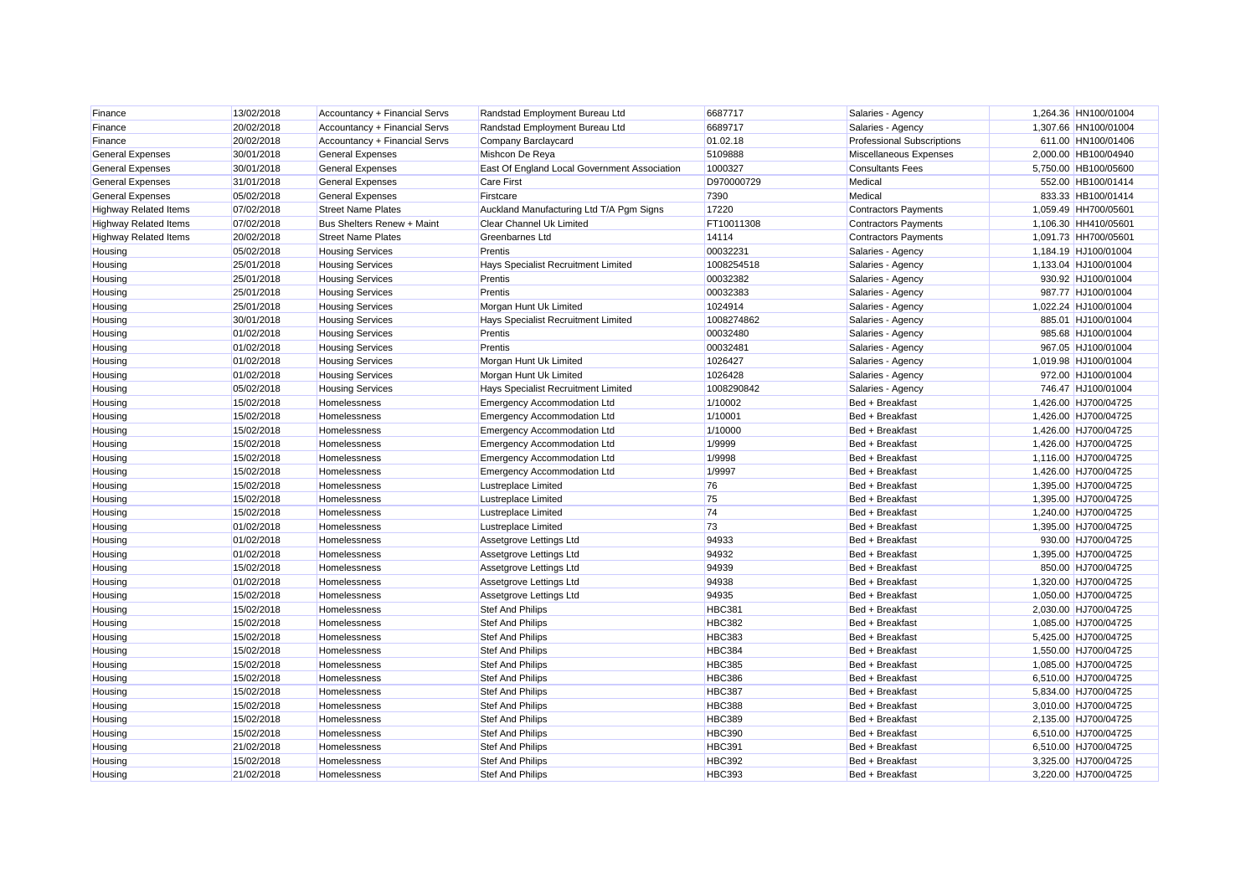| Finance                      | 13/02/2018 | Accountancy + Financial Servs | Randstad Employment Bureau Ltd               | 6687717       | Salaries - Agency                 | 1,264.36 HN100/01004 |
|------------------------------|------------|-------------------------------|----------------------------------------------|---------------|-----------------------------------|----------------------|
| Finance                      | 20/02/2018 | Accountancy + Financial Servs | Randstad Employment Bureau Ltd               | 6689717       | Salaries - Agency                 | 1,307.66 HN100/01004 |
| Finance                      | 20/02/2018 | Accountancy + Financial Servs | Company Barclaycard                          | 01.02.18      | <b>Professional Subscriptions</b> | 611.00 HN100/01406   |
| <b>General Expenses</b>      | 30/01/2018 | <b>General Expenses</b>       | Mishcon De Reya                              | 5109888       | Miscellaneous Expenses            | 2,000.00 HB100/04940 |
| <b>General Expenses</b>      | 30/01/2018 | <b>General Expenses</b>       | East Of England Local Government Association | 1000327       | <b>Consultants Fees</b>           | 5,750.00 HB100/05600 |
| <b>General Expenses</b>      | 31/01/2018 | <b>General Expenses</b>       | <b>Care First</b>                            | D970000729    | Medical                           | 552.00 HB100/01414   |
| <b>General Expenses</b>      | 05/02/2018 | <b>General Expenses</b>       | Firstcare                                    | 7390          | Medical                           | 833.33 HB100/01414   |
| <b>Highway Related Items</b> | 07/02/2018 | <b>Street Name Plates</b>     | Auckland Manufacturing Ltd T/A Pgm Signs     | 17220         | <b>Contractors Payments</b>       | 1,059.49 HH700/05601 |
| <b>Highway Related Items</b> | 07/02/2018 | Bus Shelters Renew + Maint    | Clear Channel Uk Limited                     | FT10011308    | <b>Contractors Payments</b>       | 1,106.30 HH410/05601 |
| <b>Highway Related Items</b> | 20/02/2018 | <b>Street Name Plates</b>     | <b>Greenbarnes Ltd</b>                       | 14114         | <b>Contractors Payments</b>       | 1,091.73 HH700/05601 |
| Housing                      | 05/02/2018 | <b>Housing Services</b>       | Prentis                                      | 0003223       | Salaries - Agency                 | 1,184.19 HJ100/01004 |
| Housing                      | 25/01/2018 | <b>Housing Services</b>       | Hays Specialist Recruitment Limited          | 1008254518    | Salaries - Agency                 | 1,133.04 HJ100/01004 |
| Housing                      | 25/01/2018 | <b>Housing Services</b>       | Prentis                                      | 00032382      | Salaries - Agency                 | 930.92 HJ100/01004   |
| Housing                      | 25/01/2018 | <b>Housing Services</b>       | Prentis                                      | 00032383      | Salaries - Agency                 | 987.77 HJ100/01004   |
| Housing                      | 25/01/2018 | <b>Housing Services</b>       | Morgan Hunt Uk Limited                       | 1024914       | Salaries - Agency                 | 1,022.24 HJ100/01004 |
| Housing                      | 30/01/2018 | <b>Housing Services</b>       | Hays Specialist Recruitment Limited          | 1008274862    | Salaries - Agency                 | 885.01 HJ100/01004   |
| Housing                      | 01/02/2018 | <b>Housing Services</b>       | Prentis                                      | 00032480      | Salaries - Agency                 | 985.68 HJ100/01004   |
| Housing                      | 01/02/2018 | <b>Housing Services</b>       | Prentis                                      | 0003248       | Salaries - Agency                 | 967.05 HJ100/01004   |
| Housing                      | 01/02/2018 | <b>Housing Services</b>       | Morgan Hunt Uk Limited                       | 1026427       | Salaries - Agency                 | 1,019.98 HJ100/01004 |
| Housing                      | 01/02/2018 | <b>Housing Services</b>       | Morgan Hunt Uk Limited                       | 1026428       | Salaries - Agency                 | 972.00 HJ100/01004   |
| Housing                      | 05/02/2018 | <b>Housing Services</b>       | Hays Specialist Recruitment Limited          | 1008290842    | Salaries - Agency                 | 746.47 HJ100/01004   |
| Housing                      | 15/02/2018 | Homelessness                  | <b>Emergency Accommodation Ltd</b>           | 1/10002       | Bed + Breakfast                   | 1,426.00 HJ700/04725 |
| Housing                      | 15/02/2018 | <b>Homelessness</b>           | <b>Emergency Accommodation Ltd</b>           | 1/10001       | Bed + Breakfast                   | 1,426.00 HJ700/04725 |
| Housing                      | 15/02/2018 | Homelessness                  | <b>Emergency Accommodation Ltd</b>           | 1/10000       | Bed + Breakfast                   | 1,426.00 HJ700/04725 |
| Housing                      | 15/02/2018 | Homelessness                  | <b>Emergency Accommodation Ltd</b>           | 1/9999        | Bed + Breakfast                   | 1,426.00 HJ700/04725 |
| Housing                      | 15/02/2018 | Homelessness                  | <b>Emergency Accommodation Ltd</b>           | 1/9998        | Bed + Breakfast                   | 1,116.00 HJ700/04725 |
| Housing                      | 15/02/2018 | Homelessness                  | <b>Emergency Accommodation Ltd</b>           | 1/9997        | Bed + Breakfast                   | 1,426.00 HJ700/04725 |
| Housing                      | 15/02/2018 | Homelessness                  | <b>Lustreplace Limited</b>                   | 76            | Bed + Breakfast                   | 1,395.00 HJ700/04725 |
| Housing                      | 15/02/2018 | Homelessness                  | Lustreplace Limited                          | 75            | Bed + Breakfast                   | 1,395.00 HJ700/04725 |
| Housing                      | 15/02/2018 | Homelessness                  | <b>Lustreplace Limited</b>                   | 74            | Bed + Breakfast                   | 1,240.00 HJ700/04725 |
| Housing                      | 01/02/2018 | Homelessness                  | <b>Lustreplace Limited</b>                   | 73            | Bed + Breakfast                   | 1,395.00 HJ700/04725 |
| Housing                      | 01/02/2018 | Homelessness                  | Assetgrove Lettings Ltd                      | 94933         | Bed + Breakfast                   | 930.00 HJ700/04725   |
| Housing                      | 01/02/2018 | Homelessness                  | Assetgrove Lettings Ltd                      | 94932         | Bed + Breakfast                   | 1,395.00 HJ700/04725 |
| Housing                      | 15/02/2018 | Homelessness                  | Assetgrove Lettings Ltd                      | 94939         | Bed + Breakfast                   | 850.00 HJ700/04725   |
| Housing                      | 01/02/2018 | Homelessness                  | Assetgrove Lettings Ltd                      | 94938         | Bed + Breakfast                   | 1,320.00 HJ700/04725 |
| Housing                      | 15/02/2018 | Homelessness                  | Assetgrove Lettings Ltd                      | 94935         | Bed + Breakfast                   | 1,050.00 HJ700/04725 |
| Housing                      | 15/02/2018 | Homelessness                  | <b>Stef And Philips</b>                      | <b>HBC381</b> | Bed + Breakfast                   | 2,030.00 HJ700/04725 |
| Housing                      | 15/02/2018 | Homelessness                  | <b>Stef And Philips</b>                      | <b>HBC382</b> | Bed + Breakfast                   | 1,085.00 HJ700/04725 |
| Housing                      | 15/02/2018 | Homelessness                  | <b>Stef And Philips</b>                      | HBC383        | Bed + Breakfast                   | 5.425.00 HJ700/04725 |
| Housing                      | 15/02/2018 | Homelessness                  | <b>Stef And Philips</b>                      | <b>HBC384</b> | Bed + Breakfast                   | 1,550.00 HJ700/04725 |
| Housing                      | 15/02/2018 | Homelessness                  | <b>Stef And Philips</b>                      | <b>HBC385</b> | Bed + Breakfast                   | 1,085.00 HJ700/04725 |
| Housing                      | 15/02/2018 | Homelessness                  | <b>Stef And Philips</b>                      | <b>HBC386</b> | Bed + Breakfast                   | 6,510.00 HJ700/04725 |
| Housing                      | 15/02/2018 | Homelessness                  | <b>Stef And Philips</b>                      | <b>HBC387</b> | Bed + Breakfast                   | 5,834.00 HJ700/04725 |
| Housing                      | 15/02/2018 | Homelessness                  | <b>Stef And Philips</b>                      | <b>HBC388</b> | Bed + Breakfast                   | 3,010.00 HJ700/04725 |
| Housing                      | 15/02/2018 | Homelessness                  | <b>Stef And Philips</b>                      | <b>HBC389</b> | Bed + Breakfast                   | 2,135.00 HJ700/04725 |
| Housing                      | 15/02/2018 | Homelessness                  | <b>Stef And Philips</b>                      | <b>HBC390</b> | Bed + Breakfast                   | 6,510.00 HJ700/04725 |
| Housing                      | 21/02/2018 | Homelessness                  | <b>Stef And Philips</b>                      | <b>HBC391</b> | Bed + Breakfast                   | 6,510.00 HJ700/04725 |
| Housing                      | 15/02/2018 | Homelessness                  | <b>Stef And Philips</b>                      | <b>HBC392</b> | Bed + Breakfast                   | 3,325.00 HJ700/04725 |
| Housing                      | 21/02/2018 | Homelessness                  | <b>Stef And Philips</b>                      | <b>HBC393</b> | Bed + Breakfast                   | 3.220.00 HJ700/04725 |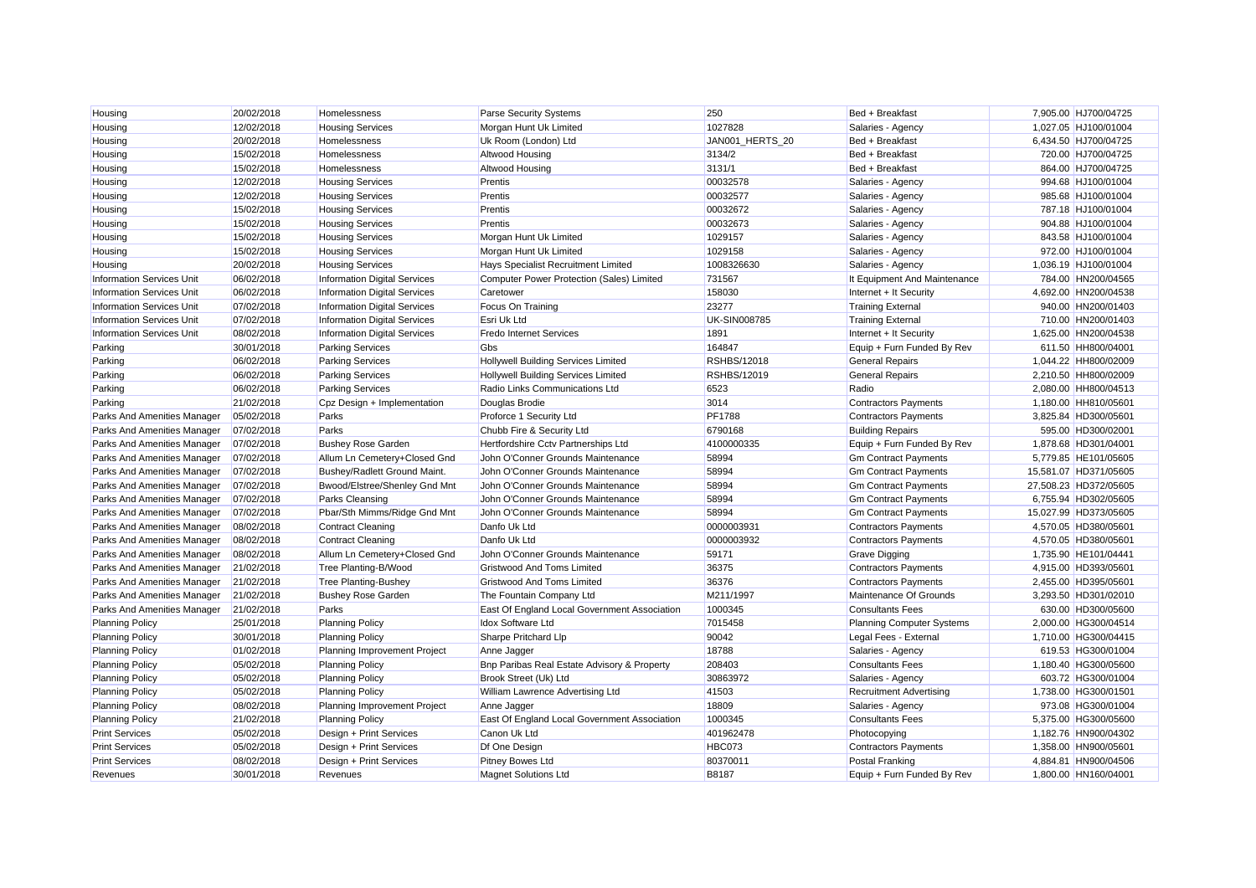| Housing                          | 20/02/2018 | Homelessness                        | <b>Parse Security Systems</b>                    | 250                 | Bed + Breakfast                  | 7,905.00 HJ700/04725  |
|----------------------------------|------------|-------------------------------------|--------------------------------------------------|---------------------|----------------------------------|-----------------------|
| Housing                          | 12/02/2018 | <b>Housing Services</b>             | Morgan Hunt Uk Limited                           | 1027828             | Salaries - Agency                | 1,027.05 HJ100/01004  |
| Housing                          | 20/02/2018 | Homelessness                        | Uk Room (London) Ltd                             | JAN001 HERTS 20     | Bed + Breakfast                  | 6,434.50 HJ700/04725  |
| Housing                          | 15/02/2018 | Homelessness                        | <b>Altwood Housing</b>                           | 3134/2              | Bed + Breakfast                  | 720.00 HJ700/04725    |
| Housing                          | 15/02/2018 | <b>Homelessness</b>                 | Altwood Housing                                  | 3131/1              | Bed + Breakfast                  | 864.00 HJ700/04725    |
| Housing                          | 12/02/2018 | <b>Housing Services</b>             | Prentis                                          | 00032578            | Salaries - Agency                | 994.68 HJ100/01004    |
| Housing                          | 12/02/2018 | <b>Housing Services</b>             | Prentis                                          | 00032577            | Salaries - Agency                | 985.68 HJ100/01004    |
| Housing                          | 15/02/2018 | <b>Housing Services</b>             | Prentis                                          | 00032672            | Salaries - Agency                | 787.18 HJ100/01004    |
| Housing                          | 15/02/2018 | <b>Housing Services</b>             | Prentis                                          | 00032673            | Salaries - Agency                | 904.88 HJ100/01004    |
| Housing                          | 15/02/2018 | <b>Housing Services</b>             | Morgan Hunt Uk Limited                           | 1029157             | Salaries - Agency                | 843.58 HJ100/01004    |
| Housing                          | 15/02/2018 | <b>Housing Services</b>             | Morgan Hunt Uk Limited                           | 1029158             | Salaries - Agency                | 972.00 HJ100/01004    |
| Housing                          | 20/02/2018 | <b>Housing Services</b>             | Hays Specialist Recruitment Limited              | 1008326630          | Salaries - Agency                | 1,036.19 HJ100/01004  |
| <b>Information Services Unit</b> | 06/02/2018 | <b>Information Digital Services</b> | <b>Computer Power Protection (Sales) Limited</b> | 731567              | It Equipment And Maintenance     | 784.00 HN200/04565    |
| <b>Information Services Unit</b> | 06/02/2018 | <b>Information Digital Services</b> | Caretower                                        | 158030              | Internet + It Security           | 4,692.00 HN200/04538  |
| <b>Information Services Unit</b> | 07/02/2018 | <b>Information Digital Services</b> | Focus On Training                                | 23277               | <b>Training External</b>         | 940.00 HN200/01403    |
| <b>Information Services Unit</b> | 07/02/2018 | <b>Information Digital Services</b> | Esri Uk Ltd                                      | <b>UK-SIN008785</b> | <b>Training External</b>         | 710.00 HN200/01403    |
| <b>Information Services Unit</b> | 08/02/2018 | <b>Information Digital Services</b> | <b>Fredo Internet Services</b>                   | 1891                | Internet + It Security           | 1,625.00 HN200/04538  |
| Parking                          | 30/01/2018 | <b>Parking Services</b>             | Gbs                                              | 164847              | Equip + Furn Funded By Rev       | 611.50 HH800/04001    |
| Parking                          | 06/02/2018 | <b>Parking Services</b>             | Hollywell Building Services Limited              | RSHBS/12018         | <b>General Repairs</b>           | 1,044.22 HH800/02009  |
| Parking                          | 06/02/2018 | <b>Parking Services</b>             | <b>Hollywell Building Services Limited</b>       | <b>RSHBS/12019</b>  | <b>General Repairs</b>           | 2,210.50 HH800/02009  |
| Parking                          | 06/02/2018 | <b>Parking Services</b>             | Radio Links Communications Ltd                   | 6523                | Radio                            | 2,080.00 HH800/04513  |
| Parking                          | 21/02/2018 | Cpz Design + Implementation         | Douglas Brodie                                   | 3014                | <b>Contractors Payments</b>      | 1,180.00 HH810/05601  |
| Parks And Amenities Manager      | 05/02/2018 | Parks                               | Proforce 1 Security Ltd                          | <b>PF1788</b>       | <b>Contractors Payments</b>      | 3,825.84 HD300/05601  |
| Parks And Amenities Manager      | 07/02/2018 | Parks                               | Chubb Fire & Security Ltd                        | 6790168             | <b>Building Repairs</b>          | 595.00 HD300/02001    |
| Parks And Amenities Manager      | 07/02/2018 | <b>Bushey Rose Garden</b>           | Hertfordshire Cctv Partnerships Ltd              | 4100000335          | Equip + Furn Funded By Rev       | 1,878.68 HD301/04001  |
| Parks And Amenities Manager      | 07/02/2018 | Allum Ln Cemetery+Closed Gnd        | John O'Conner Grounds Maintenance                | 58994               | <b>Gm Contract Payments</b>      | 5,779.85 HE101/05605  |
| Parks And Amenities Manager      | 07/02/2018 | Bushey/Radlett Ground Maint.        | John O'Conner Grounds Maintenance                | 58994               | <b>Gm Contract Payments</b>      | 15,581.07 HD371/05605 |
| Parks And Amenities Manager      | 07/02/2018 | Bwood/Elstree/Shenley Gnd Mnt       | John O'Conner Grounds Maintenance                | 58994               | <b>Gm Contract Payments</b>      | 27.508.23 HD372/05605 |
| Parks And Amenities Manager      | 07/02/2018 | <b>Parks Cleansing</b>              | John O'Conner Grounds Maintenance                | 58994               | <b>Gm Contract Payments</b>      | 6,755.94 HD302/05605  |
| Parks And Amenities Manager      | 07/02/2018 | Pbar/Sth Mimms/Ridge Gnd Mnt        | John O'Conner Grounds Maintenance                | 58994               | <b>Gm Contract Payments</b>      | 15,027.99 HD373/05605 |
| Parks And Amenities Manager      | 08/02/2018 | Contract Cleaning                   | Danfo Uk Ltd                                     | 0000003931          | <b>Contractors Payments</b>      | 4,570.05 HD380/05601  |
| Parks And Amenities Manager      | 08/02/2018 | <b>Contract Cleaning</b>            | Danfo Uk Ltd                                     | 0000003932          | <b>Contractors Payments</b>      | 4,570.05 HD380/05601  |
| Parks And Amenities Manager      | 08/02/2018 | Allum Ln Cemetery+Closed Gnd        | John O'Conner Grounds Maintenance                | 59171               | <b>Grave Digging</b>             | 1,735.90 HE101/04441  |
| Parks And Amenities Manager      | 21/02/2018 | Tree Planting-B/Wood                | <b>Gristwood And Toms Limited</b>                | 36375               | <b>Contractors Payments</b>      | 4,915.00 HD393/05601  |
| Parks And Amenities Manager      | 21/02/2018 | <b>Tree Planting-Bushey</b>         | <b>Gristwood And Toms Limited</b>                | 36376               | <b>Contractors Payments</b>      | 2,455.00 HD395/05601  |
| Parks And Amenities Manager      | 21/02/2018 | <b>Bushey Rose Garden</b>           | The Fountain Company Ltd                         | M211/1997           | Maintenance Of Grounds           | 3,293.50 HD301/02010  |
| Parks And Amenities Manager      | 21/02/2018 | Parks                               | East Of England Local Government Association     | 1000345             | <b>Consultants Fees</b>          | 630.00 HD300/05600    |
| <b>Planning Policy</b>           | 25/01/2018 | <b>Planning Policy</b>              | Idox Software Ltd                                | 7015458             | <b>Planning Computer Systems</b> | 2,000.00 HG300/04514  |
| <b>Planning Policy</b>           | 30/01/2018 | <b>Planning Policy</b>              | Sharpe Pritchard Llp                             | 90042               | Legal Fees - External            | 1,710.00 HG300/04415  |
| <b>Planning Policy</b>           | 01/02/2018 | Planning Improvement Project        | Anne Jagger                                      | 18788               | Salaries - Agency                | 619.53 HG300/01004    |
| <b>Planning Policy</b>           | 05/02/2018 | <b>Planning Policy</b>              | Bnp Paribas Real Estate Advisory & Property      | 208403              | <b>Consultants Fees</b>          | 1,180.40 HG300/05600  |
| <b>Planning Policy</b>           | 05/02/2018 | <b>Planning Policy</b>              | Brook Street (Uk) Ltd                            | 30863972            | Salaries - Agency                | 603.72 HG300/01004    |
| <b>Planning Policy</b>           | 05/02/2018 | <b>Planning Policy</b>              | William Lawrence Advertising Ltd                 | 41503               | <b>Recruitment Advertising</b>   | 1,738.00 HG300/01501  |
| <b>Planning Policy</b>           | 08/02/2018 | Planning Improvement Project        | Anne Jagger                                      | 18809               | Salaries - Agency                | 973.08 HG300/01004    |
| <b>Planning Policy</b>           | 21/02/2018 | <b>Planning Policy</b>              | East Of England Local Government Association     | 1000345             | <b>Consultants Fees</b>          | 5,375.00 HG300/05600  |
| <b>Print Services</b>            | 05/02/2018 | Design + Print Services             | Canon Uk Ltd                                     | 401962478           | Photocopying                     | 1,182.76 HN900/04302  |
| <b>Print Services</b>            | 05/02/2018 | Design + Print Services             | Df One Design                                    | HBC073              | <b>Contractors Payments</b>      | 1,358.00 HN900/05601  |
| <b>Print Services</b>            | 08/02/2018 | Design + Print Services             | <b>Pitney Bowes Ltd</b>                          | 80370011            | <b>Postal Franking</b>           | 4,884.81 HN900/04506  |
| Revenues                         | 30/01/2018 | Revenues                            | <b>Magnet Solutions Ltd</b>                      | <b>B8187</b>        | Equip + Furn Funded By Rev       | 1.800.00 HN160/04001  |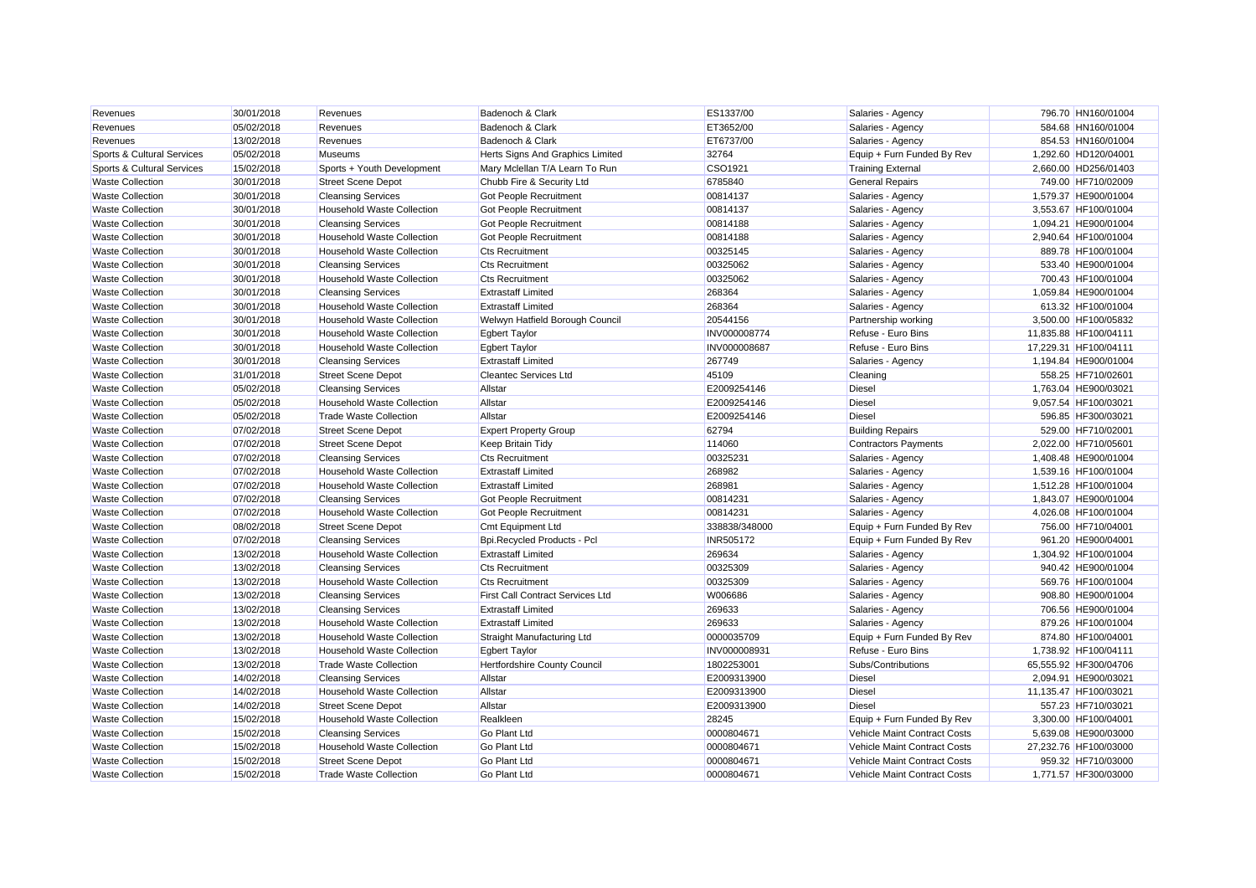| Revenues                   | 30/01/2018 | Revenues                          | Badenoch & Clark                        | ES1337/00     | Salaries - Agency            | 796.70 HN160/01004    |
|----------------------------|------------|-----------------------------------|-----------------------------------------|---------------|------------------------------|-----------------------|
| Revenues                   | 05/02/2018 | Revenues                          | Badenoch & Clark                        | ET3652/00     | Salaries - Agency            | 584.68 HN160/01004    |
| Revenues                   | 13/02/2018 | Revenues                          | Badenoch & Clark                        | ET6737/00     | Salaries - Agency            | 854.53 HN160/01004    |
| Sports & Cultural Services | 05/02/2018 | <b>Museums</b>                    | Herts Signs And Graphics Limited        | 32764         | Equip + Furn Funded By Rev   | 1,292.60 HD120/04001  |
| Sports & Cultural Services | 15/02/2018 | Sports + Youth Development        | Mary Mclellan T/A Learn To Run          | CSO1921       | <b>Training External</b>     | 2,660.00 HD256/01403  |
| <b>Waste Collection</b>    | 30/01/2018 | <b>Street Scene Depot</b>         | Chubb Fire & Security Ltd               | 6785840       | <b>General Repairs</b>       | 749.00 HF710/02009    |
| <b>Waste Collection</b>    | 30/01/2018 | <b>Cleansing Services</b>         | Got People Recruitment                  | 00814137      | Salaries - Agency            | 1,579.37 HE900/01004  |
| <b>Waste Collection</b>    | 30/01/2018 | <b>Household Waste Collection</b> | Got People Recruitment                  | 00814137      | Salaries - Agency            | 3,553.67 HF100/01004  |
| <b>Waste Collection</b>    | 30/01/2018 | <b>Cleansing Services</b>         | Got People Recruitment                  | 00814188      | Salaries - Agency            | 1,094.21 HE900/01004  |
| <b>Waste Collection</b>    | 30/01/2018 | <b>Household Waste Collection</b> | Got People Recruitment                  | 00814188      | Salaries - Agency            | 2,940.64 HF100/01004  |
| <b>Waste Collection</b>    | 30/01/2018 | <b>Household Waste Collection</b> | <b>Cts Recruitment</b>                  | 00325145      | Salaries - Agency            | 889.78 HF100/01004    |
| <b>Waste Collection</b>    | 30/01/2018 | <b>Cleansing Services</b>         | <b>Cts Recruitment</b>                  | 00325062      | Salaries - Agency            | 533.40 HE900/01004    |
| <b>Waste Collection</b>    | 30/01/2018 | Household Waste Collection        | <b>Cts Recruitment</b>                  | 00325062      | Salaries - Agency            | 700.43 HF100/01004    |
| <b>Waste Collection</b>    | 30/01/2018 | <b>Cleansing Services</b>         | <b>Extrastaff Limited</b>               | 268364        | Salaries - Agency            | 1,059.84 HE900/01004  |
| <b>Waste Collection</b>    | 30/01/2018 | <b>Household Waste Collection</b> | <b>Extrastaff Limited</b>               | 268364        | Salaries - Agency            | 613.32 HF100/01004    |
| <b>Waste Collection</b>    | 30/01/2018 | <b>Household Waste Collection</b> | Welwyn Hatfield Borough Council         | 20544156      | Partnership working          | 3,500.00 HF100/05832  |
| <b>Waste Collection</b>    | 30/01/2018 | <b>Household Waste Collection</b> | <b>Egbert Taylor</b>                    | INV000008774  | Refuse - Euro Bins           | 11,835.88 HF100/04111 |
| <b>Waste Collection</b>    | 30/01/2018 | <b>Household Waste Collection</b> | <b>Egbert Taylor</b>                    | INV000008687  | Refuse - Euro Bins           | 17,229.31 HF100/04111 |
| <b>Waste Collection</b>    | 30/01/2018 | <b>Cleansing Services</b>         | <b>Extrastaff Limited</b>               | 267749        | Salaries - Agency            | 1,194.84 HE900/01004  |
| <b>Waste Collection</b>    | 31/01/2018 | <b>Street Scene Depot</b>         | <b>Cleantec Services Ltd</b>            | 45109         | Cleaning                     | 558.25 HF710/02601    |
| <b>Waste Collection</b>    | 05/02/2018 | <b>Cleansing Services</b>         | Allstar                                 | E2009254146   | <b>Diesel</b>                | 1,763.04 HE900/03021  |
| <b>Waste Collection</b>    | 05/02/2018 | <b>Household Waste Collection</b> | Allstar                                 | E2009254146   | Diesel                       | 9,057.54 HF100/03021  |
| <b>Waste Collection</b>    | 05/02/2018 | <b>Trade Waste Collection</b>     | Allstar                                 | E2009254146   | <b>Diesel</b>                | 596.85 HF300/03021    |
| <b>Waste Collection</b>    | 07/02/2018 | <b>Street Scene Depot</b>         | <b>Expert Property Group</b>            | 62794         | <b>Building Repairs</b>      | 529.00 HF710/02001    |
| <b>Waste Collection</b>    | 07/02/2018 | <b>Street Scene Depot</b>         | Keep Britain Tidy                       | 114060        | <b>Contractors Payments</b>  | 2,022.00 HF710/05601  |
| <b>Waste Collection</b>    | 07/02/2018 | <b>Cleansing Services</b>         | <b>Cts Recruitment</b>                  | 0032523       | Salaries - Agency            | 1,408.48 HE900/01004  |
| <b>Waste Collection</b>    | 07/02/2018 | <b>Household Waste Collection</b> | <b>Extrastaff Limited</b>               | 268982        | Salaries - Agency            | 1,539.16 HF100/01004  |
| <b>Waste Collection</b>    | 07/02/2018 | <b>Household Waste Collection</b> | <b>Extrastaff Limited</b>               | 268981        | Salaries - Agency            | 1,512.28 HF100/01004  |
| <b>Waste Collection</b>    | 07/02/2018 | <b>Cleansing Services</b>         | Got People Recruitment                  | 00814231      | Salaries - Agency            | 1,843.07 HE900/01004  |
| <b>Waste Collection</b>    | 07/02/2018 | <b>Household Waste Collection</b> | Got People Recruitment                  | 00814231      | Salaries - Agency            | 4,026.08 HF100/01004  |
| <b>Waste Collection</b>    | 08/02/2018 | <b>Street Scene Depot</b>         | <b>Cmt Equipment Ltd</b>                | 338838/348000 | Equip + Furn Funded By Rev   | 756.00 HF710/04001    |
| <b>Waste Collection</b>    | 07/02/2018 | <b>Cleansing Services</b>         | Bpi.Recycled Products - Pcl             | INR505172     | Equip + Furn Funded By Rev   | 961.20 HE900/04001    |
| <b>Waste Collection</b>    | 13/02/2018 | <b>Household Waste Collection</b> | <b>Extrastaff Limited</b>               | 269634        | Salaries - Agency            | 1,304.92 HF100/01004  |
| <b>Waste Collection</b>    | 13/02/2018 | <b>Cleansing Services</b>         | <b>Cts Recruitment</b>                  | 00325309      | Salaries - Agency            | 940.42 HE900/01004    |
| <b>Waste Collection</b>    | 13/02/2018 | <b>Household Waste Collection</b> | <b>Cts Recruitment</b>                  | 00325309      | Salaries - Agency            | 569.76 HF100/01004    |
| <b>Waste Collection</b>    | 13/02/2018 | <b>Cleansing Services</b>         | <b>First Call Contract Services Ltd</b> | W006686       | Salaries - Agency            | 908.80 HE900/01004    |
| <b>Waste Collection</b>    | 13/02/2018 | <b>Cleansing Services</b>         | <b>Extrastaff Limited</b>               | 269633        | Salaries - Agency            | 706.56 HE900/01004    |
| <b>Waste Collection</b>    | 13/02/2018 | <b>Household Waste Collection</b> | <b>Extrastaff Limited</b>               | 269633        | Salaries - Agency            | 879.26 HF100/01004    |
| <b>Waste Collection</b>    | 13/02/2018 | <b>Household Waste Collection</b> | Straight Manufacturing Ltd              | 0000035709    | Equip + Furn Funded By Rev   | 874.80 HF100/04001    |
| <b>Waste Collection</b>    | 13/02/2018 | <b>Household Waste Collection</b> | <b>Egbert Taylor</b>                    | INV000008931  | Refuse - Euro Bins           | 1,738.92 HF100/04111  |
| <b>Waste Collection</b>    | 13/02/2018 | <b>Trade Waste Collection</b>     | Hertfordshire County Council            | 1802253001    | Subs/Contributions           | 65,555.92 HF300/04706 |
| <b>Waste Collection</b>    | 14/02/2018 | <b>Cleansing Services</b>         | Allstar                                 | E2009313900   | <b>Diesel</b>                | 2,094.91 HE900/03021  |
| <b>Waste Collection</b>    | 14/02/2018 | <b>Household Waste Collection</b> | Allstar                                 | E2009313900   | <b>Diesel</b>                | 11,135.47 HF100/03021 |
| <b>Waste Collection</b>    | 14/02/2018 | <b>Street Scene Depot</b>         | Allstar                                 | E2009313900   | <b>Diesel</b>                | 557.23 HF710/03021    |
| <b>Waste Collection</b>    | 15/02/2018 | <b>Household Waste Collection</b> | Realkleen                               | 28245         | Equip + Furn Funded By Rev   | 3,300.00 HF100/04001  |
| <b>Waste Collection</b>    | 15/02/2018 | <b>Cleansing Services</b>         | Go Plant Ltd                            | 0000804671    | Vehicle Maint Contract Costs | 5,639.08 HE900/03000  |
| <b>Waste Collection</b>    | 15/02/2018 | Household Waste Collection        | Go Plant Ltd                            | 0000804671    | Vehicle Maint Contract Costs | 27,232.76 HF100/03000 |
| <b>Waste Collection</b>    | 15/02/2018 | <b>Street Scene Depot</b>         | Go Plant Ltd                            | 0000804671    | Vehicle Maint Contract Costs | 959.32 HF710/03000    |
| <b>Waste Collection</b>    | 15/02/2018 | <b>Trade Waste Collection</b>     | Go Plant Ltd                            | 0000804671    | Vehicle Maint Contract Costs | 1.771.57 HF300/03000  |